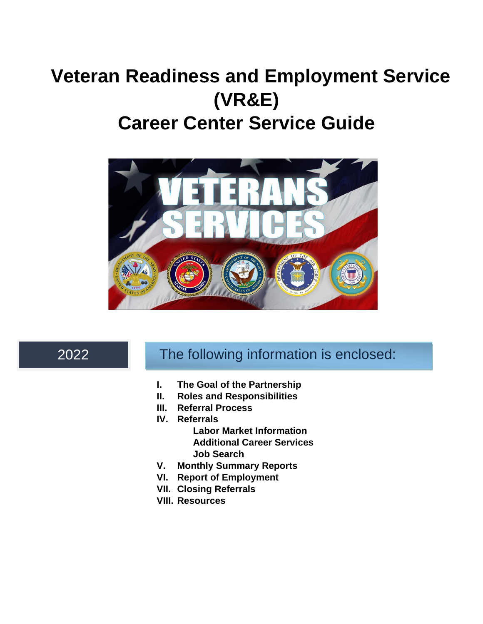# **Veteran Readiness and Employment Service (VR&E) Career Center Service Guide**



# 2022

# The following information is enclosed:

- **I. The Goal of the Partnership**
- **II. Roles and Responsibilities**
- **III. Referral Process**
- **IV. Referrals**
	- **Labor Market Information Additional Career Services Job Search**
- **V. Monthly Summary Reports**
- **VI. Report of Employment**
- **VII. Closing Referrals**
- **VIII. Resources**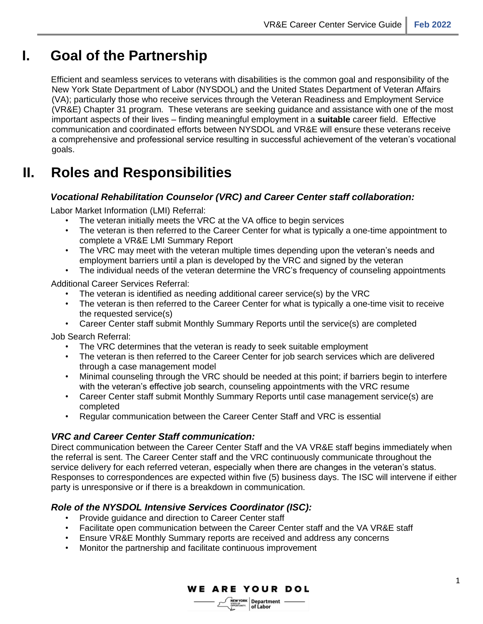# **I. Goal of the Partnership**

Efficient and seamless services to veterans with disabilities is the common goal and responsibility of the New York State Department of Labor (NYSDOL) and the United States Department of Veteran Affairs (VA); particularly those who receive services through the Veteran Readiness and Employment Service (VR&E) Chapter 31 program. These veterans are seeking guidance and assistance with one of the most important aspects of their lives – finding meaningful employment in a **suitable** career field. Effective communication and coordinated efforts between NYSDOL and VR&E will ensure these veterans receive a comprehensive and professional service resulting in successful achievement of the veteran's vocational goals.

# **II. Roles and Responsibilities**

#### *Vocational Rehabilitation Counselor (VRC) and Career Center staff collaboration:*

Labor Market Information (LMI) Referral:

- The veteran initially meets the VRC at the VA office to begin services
- The veteran is then referred to the Career Center for what is typically a one-time appointment to complete a VR&E LMI Summary Report
- The VRC may meet with the veteran multiple times depending upon the veteran's needs and employment barriers until a plan is developed by the VRC and signed by the veteran
- The individual needs of the veteran determine the VRC's frequency of counseling appointments

Additional Career Services Referral:

- The veteran is identified as needing additional career service(s) by the VRC
- The veteran is then referred to the Career Center for what is typically a one-time visit to receive the requested service(s)
- Career Center staff submit Monthly Summary Reports until the service(s) are completed

Job Search Referral:

- The VRC determines that the veteran is ready to seek suitable employment
- The veteran is then referred to the Career Center for job search services which are delivered through a case management model
- Minimal counseling through the VRC should be needed at this point; if barriers begin to interfere with the veteran's effective job search, counseling appointments with the VRC resume
- Career Center staff submit Monthly Summary Reports until case management service(s) are completed
- Regular communication between the Career Center Staff and VRC is essential

#### *VRC and Career Center Staff communication:*

Direct communication between the Career Center Staff and the VA VR&E staff begins immediately when the referral is sent. The Career Center staff and the VRC continuously communicate throughout the service delivery for each referred veteran, especially when there are changes in the veteran's status. Responses to correspondences are expected within five (5) business days. The ISC will intervene if either party is unresponsive or if there is a breakdown in communication.

#### *Role of the NYSDOL Intensive Services Coordinator (ISC):*

- Provide guidance and direction to Career Center staff
- Facilitate open communication between the Career Center staff and the VA VR&E staff
- Ensure VR&E Monthly Summary reports are received and address any concerns
- Monitor the partnership and facilitate continuous improvement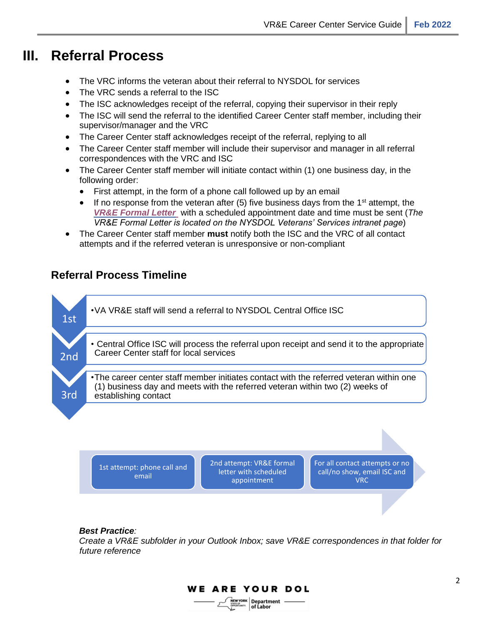### **III. Referral Process**

- The VRC informs the veteran about their referral to NYSDOL for services
- The VRC sends a referral to the ISC
- The ISC acknowledges receipt of the referral, copying their supervisor in their reply
- The ISC will send the referral to the identified Career Center staff member, including their supervisor/manager and the VRC
- The Career Center staff acknowledges receipt of the referral, replying to all
- The Career Center staff member will include their supervisor and manager in all referral correspondences with the VRC and ISC
- The Career Center staff member will initiate contact within (1) one business day, in the following order:
	- First attempt, in the form of a phone call followed up by an email
	- If no response from the veteran after (5) five business days from the 1<sup>st</sup> attempt, the *[VR&E Formal Letter](https://dol.ny.gov/vre-formal-letter)* with a scheduled appointment date and time must be sent (*The VR&E Formal Letter is located on the NYSDOL Veterans' Services intranet page*)
- The Career Center staff member **must** notify both the ISC and the VRC of all contact attempts and if the referred veteran is unresponsive or non-compliant

### **Referral Process Timeline**



1st attempt: phone call and 2nd attempt: VR&E formal letter with scheduled appointment

For all contact attempts or no call/no show, email ISC and VRC

#### *Best Practice:*

email

*Create a VR&E subfolder in your Outlook Inbox; save VR&E correspondences in that folder for future reference* 

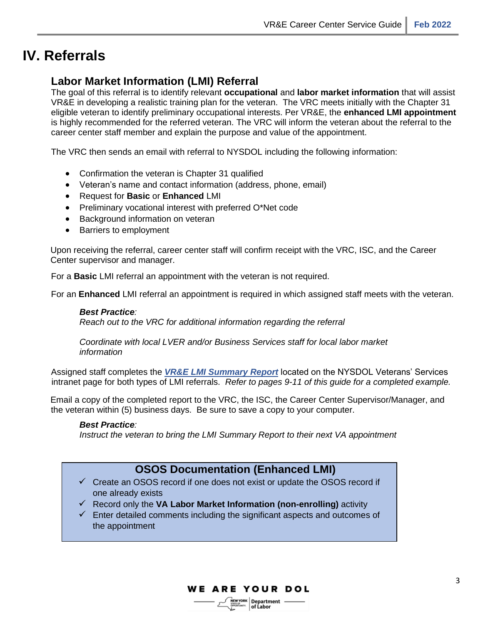### **IV. Referrals**

### **Labor Market Information (LMI) Referral**

The goal of this referral is to identify relevant **occupational** and **labor market information** that will assist VR&E in developing a realistic training plan for the veteran. The VRC meets initially with the Chapter 31 eligible veteran to identify preliminary occupational interests. Per VR&E, the **enhanced LMI appointment** is highly recommended for the referred veteran. The VRC will inform the veteran about the referral to the career center staff member and explain the purpose and value of the appointment.

The VRC then sends an email with referral to NYSDOL including the following information:

- Confirmation the veteran is Chapter 31 qualified
- Veteran's name and contact information (address, phone, email)
- Request for **Basic** or **Enhanced** LMI
- Preliminary vocational interest with preferred O\*Net code
- Background information on veteran
- Barriers to employment

Upon receiving the referral, career center staff will confirm receipt with the VRC, ISC, and the Career Center supervisor and manager.

For a **Basic** LMI referral an appointment with the veteran is not required.

For an **Enhanced** LMI referral an appointment is required in which assigned staff meets with the veteran.

#### *Best Practice:*

*Reach out to the VRC for additional information regarding the referral*

*Coordinate with local LVER and/or Business Services staff for local labor market information* 

Assigned staff completes the *[VR&E LMI Summary](http://sdolintranet:81/dews/veterans/doc/vr%26e-lmi-summary-report-template.doc) [Report](http://sdolintranet:81/dews/veterans/doc/vr%26e-lmi-summary-report-template.doc)* located on the NYSDOL Veterans' Services intranet page for both types of LMI referrals. *Refer to pages 9-11 of this guide for a completed example.* 

Email a copy of the completed report to the VRC, the ISC, the Career Center Supervisor/Manager, and the veteran within (5) business days. Be sure to save a copy to your computer.

#### *Best Practice:*

*Instruct the veteran to bring the LMI Summary Report to their next VA appointment*

#### **OSOS Documentation (Enhanced LMI)**

- ✓ Create an OSOS record if one does not exist or update the OSOS record if one already exists
- ✓ Record only the **VA Labor Market Information (non-enrolling)** activity
- $\checkmark$  Enter detailed comments including the significant aspects and outcomes of the appointment

**WE ARE YOUR DOL**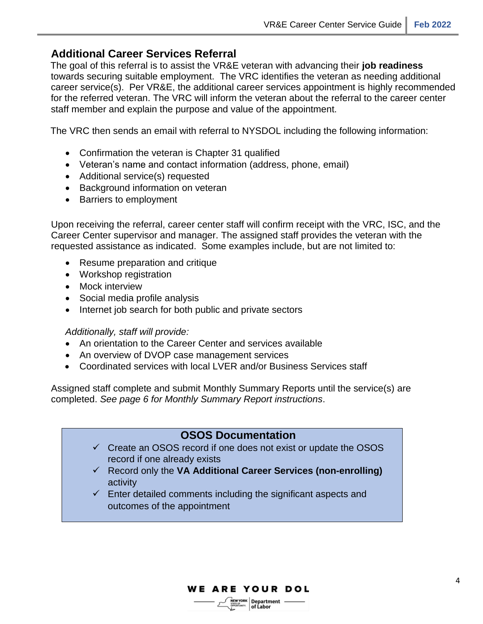#### **Additional Career Services Referral**

The goal of this referral is to assist the VR&E veteran with advancing their **job readiness**  towards securing suitable employment. The VRC identifies the veteran as needing additional career service(s). Per VR&E, the additional career services appointment is highly recommended for the referred veteran. The VRC will inform the veteran about the referral to the career center staff member and explain the purpose and value of the appointment.

The VRC then sends an email with referral to NYSDOL including the following information:

- Confirmation the veteran is Chapter 31 qualified
- Veteran's name and contact information (address, phone, email)
- Additional service(s) requested
- Background information on veteran
- Barriers to employment

Upon receiving the referral, career center staff will confirm receipt with the VRC, ISC, and the Career Center supervisor and manager. The assigned staff provides the veteran with the requested assistance as indicated. Some examples include, but are not limited to:

- Resume preparation and critique
- Workshop registration
- Mock interview
- Social media profile analysis
- Internet job search for both public and private sectors

#### *Additionally, staff will provide:*

- An orientation to the Career Center and services available
- An overview of DVOP case management services
- Coordinated services with local LVER and/or Business Services staff

Assigned staff complete and submit Monthly Summary Reports until the service(s) are completed. *See page 6 for Monthly Summary Report instructions*.

#### **OSOS Documentation**

- $\checkmark$  Create an OSOS record if one does not exist or update the OSOS record if one already exists
- ✓ Record only the **VA Additional Career Services (non-enrolling)** activity
- $\checkmark$  Enter detailed comments including the significant aspects and outcomes of the appointment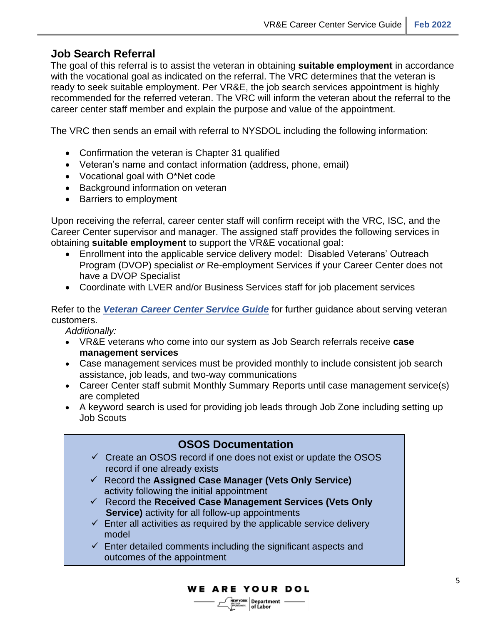### **Job Search Referral**

The goal of this referral is to assist the veteran in obtaining **suitable employment** in accordance with the vocational goal as indicated on the referral. The VRC determines that the veteran is ready to seek suitable employment. Per VR&E, the job search services appointment is highly recommended for the referred veteran. The VRC will inform the veteran about the referral to the career center staff member and explain the purpose and value of the appointment.

The VRC then sends an email with referral to NYSDOL including the following information:

- Confirmation the veteran is Chapter 31 qualified
- Veteran's name and contact information (address, phone, email)
- Vocational goal with O\*Net code
- Background information on veteran
- Barriers to employment

Upon receiving the referral, career center staff will confirm receipt with the VRC, ISC, and the Career Center supervisor and manager. The assigned staff provides the following services in obtaining **suitable employment** to support the VR&E vocational goal:

- Enrollment into the applicable service delivery model: Disabled Veterans' Outreach Program (DVOP) specialist *or* Re-employment Services if your Career Center does not have a DVOP Specialist
- Coordinate with LVER and/or Business Services staff for job placement services

Refer to the *[Veteran](https://labor.ny.gov/VETs/PDFs/Veteran-Service-Guide.pdf) [Career Center Service Guide](http://dol.ny.gov/system/files/documents/2022/02/veteran-services-career-center-guide_0_0.pdf)* [f](https://labor.ny.gov/VETs/PDFs/Veteran-Service-Guide.pdf)or further guidance about serving veteran customers.

*Additionally:*

- VR&E veterans who come into our system as Job Search referrals receive **case management services**
- Case management services must be provided monthly to include consistent job search assistance, job leads, and two-way communications
- Career Center staff submit Monthly Summary Reports until case management service(s) are completed
- A keyword search is used for providing job leads through Job Zone including setting up Job Scouts



**WE ARE YOUR DOL**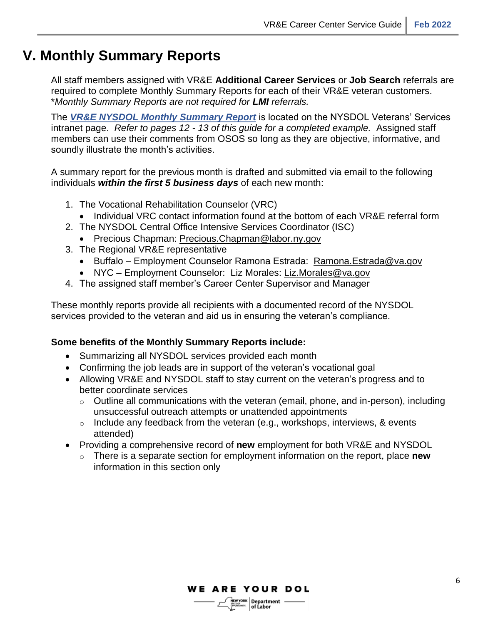### **V. Monthly Summary Reports**

All staff members assigned with VR&E **Additional Career Services** or **Job Search** referrals are required to complete Monthly Summary Reports for each of their VR&E veteran customers. \**Monthly Summary Reports are not required for LMI referrals.*

The *[VR&E NYSDOL Monthly Summary Report](http://sdolintranet:81/dews/veterans/doc/vr%26e-monthly-summary-report-template.doc)* [i](http://sdolintranet:81/dews/veterans/doc/vr%26e-monthly-summary-report-template.doc)s located on the NYSDOL Veterans' Services intranet page. *Refer to pages 12 - 13 of this guide for a completed example.* Assigned staff members can use their comments from OSOS so long as they are objective, informative, and soundly illustrate the month's activities.

A summary report for the previous month is drafted and submitted via email to the following individuals *within the first 5 business days* of each new month:

- 1. The Vocational Rehabilitation Counselor (VRC)
	- Individual VRC contact information found at the bottom of each VR&E referral form
- 2. The NYSDOL Central Office Intensive Services Coordinator (ISC)
	- Precious Chapman: Precious.Chapman@labor.ny.gov
- 3. The Regional VR&E representative
	- Buffalo Employment Counselor Ramona Estrada: [Ramona.Estrada@va.gov](mailto:Ramona.Estrada@va.gov)
	- NYC Employment Counselor: Liz Morales: Liz.Morales@va.gov
- 4. The assigned staff member's Career Center Supervisor and Manager

These monthly reports provide all recipients with a documented record of the NYSDOL services provided to the veteran and aid us in ensuring the veteran's compliance.

#### **Some benefits of the Monthly Summary Reports include:**

- Summarizing all NYSDOL services provided each month
- Confirming the job leads are in support of the veteran's vocational goal
- Allowing VR&E and NYSDOL staff to stay current on the veteran's progress and to better coordinate services
	- $\circ$  Outline all communications with the veteran (email, phone, and in-person), including unsuccessful outreach attempts or unattended appointments
	- $\circ$  Include any feedback from the veteran (e.g., workshops, interviews, & events attended)
- Providing a comprehensive record of **new** employment for both VR&E and NYSDOL
	- o There is a separate section for employment information on the report, place **new** information in this section only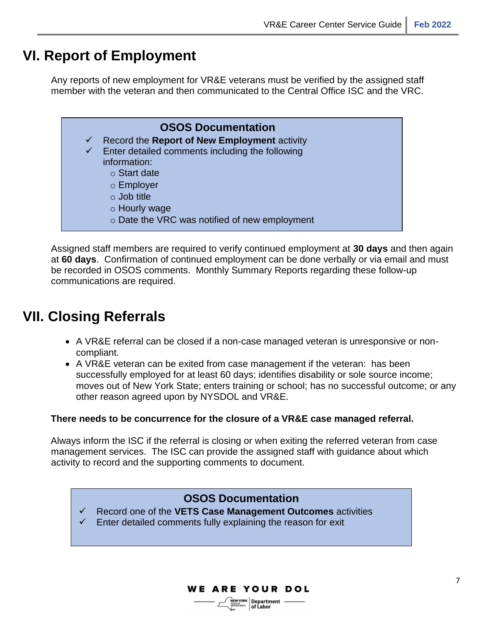## **VI. Report of Employment**

Any reports of new employment for VR&E veterans must be verified by the assigned staff member with the veteran and then communicated to the Central Office ISC and the VRC.



Assigned staff members are required to verify continued employment at **30 days** and then again at **60 days**. Confirmation of continued employment can be done verbally or via email and must be recorded in OSOS comments. Monthly Summary Reports regarding these follow-up communications are required.

# **VII. Closing Referrals**

- A VR&E referral can be closed if a non-case managed veteran is unresponsive or noncompliant.
- A VR&E veteran can be exited from case management if the veteran: has been successfully employed for at least 60 days; identifies disability or sole source income; moves out of New York State; enters training or school; has no successful outcome; or any other reason agreed upon by NYSDOL and VR&E.

#### **There needs to be concurrence for the closure of a VR&E case managed referral.**

Always inform the ISC if the referral is closing or when exiting the referred veteran from case management services. The ISC can provide the assigned staff with guidance about which activity to record and the supporting comments to document.

### **OSOS Documentation**

✓ Record one of the **VETS Case Management Outcomes** activities  $\checkmark$  Enter detailed comments fully explaining the reason for exit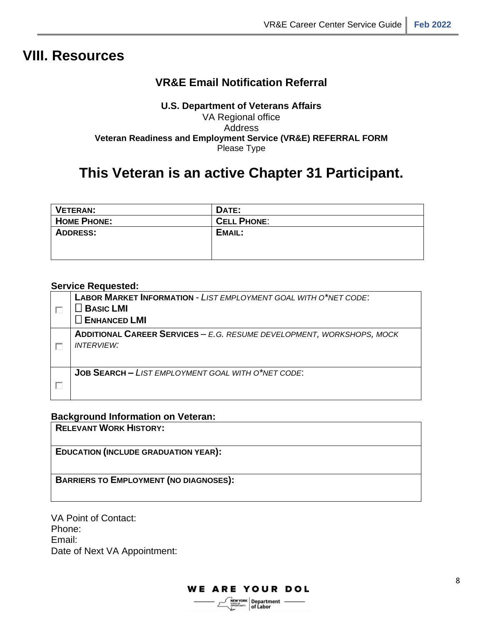### **VIII. Resources**

### **VR&E Email Notification Referral**

#### **U.S. Department of Veterans Affairs** VA Regional office Address **Veteran Readiness and Employment Service (VR&E) REFERRAL FORM** Please Type

## **This Veteran is an active Chapter 31 Participant.**

| VETERAN:           | DATE:              |
|--------------------|--------------------|
| <b>HOME PHONE:</b> | <b>CELL PHONE:</b> |
| <b>ADDRESS:</b>    | EMAIL:             |
|                    |                    |
|                    |                    |

#### **Service Requested:**

| <b>LABOR MARKET INFORMATION - LIST EMPLOYMENT GOAL WITH O*NET CODE:</b><br>$\Box$ Basic LMI<br>$\Box$ ENHANCED LMI |
|--------------------------------------------------------------------------------------------------------------------|
| <b>ADDITIONAL CAREER SERVICES - E.G. RESUME DEVELOPMENT, WORKSHOPS, MOCK</b><br><i><b>INTERVIEW:</b></i>           |
| <b>JOB SEARCH - LIST EMPLOYMENT GOAL WITH O*NET CODE:</b>                                                          |

#### **Background Information on Veteran:**

**RELEVANT WORK HISTORY:**

**EDUCATION (INCLUDE GRADUATION YEAR):**

**BARRIERS TO EMPLOYMENT (NO DIAGNOSES):**

VA Point of Contact: Phone: Email: Date of Next VA Appointment:

of Labor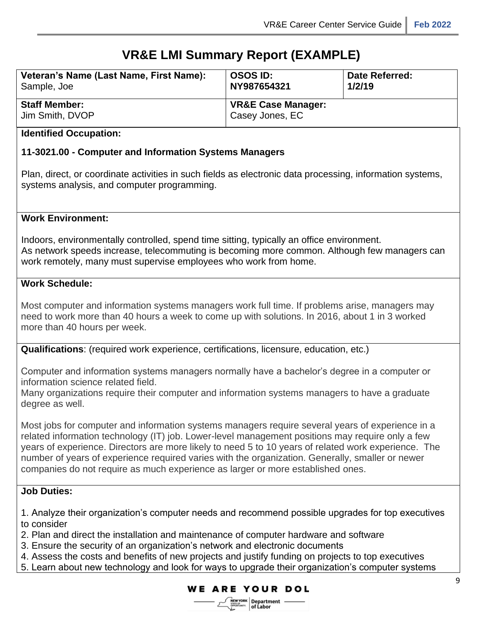### **VR&E LMI Summary Report (EXAMPLE)**

| Veteran's Name (Last Name, First Name): | <b>OSOS ID:</b>                                  | <b>Date Referred:</b> |
|-----------------------------------------|--------------------------------------------------|-----------------------|
| Sample, Joe                             | NY987654321                                      | 1/2/19                |
| <b>Staff Member:</b><br>Jim Smith, DVOP | <b>VR&amp;E Case Manager:</b><br>Casey Jones, EC |                       |

#### **Identified Occupation:**

#### **11-3021.00 - Computer and Information Systems Managers**

Plan, direct, or coordinate activities in such fields as electronic data processing, information systems, systems analysis, and computer programming.

#### **Work Environment:**

Indoors, environmentally controlled, spend time sitting, typically an office environment. As network speeds increase, telecommuting is becoming more common. Although few managers can work remotely, many must supervise employees who work from home.

#### **Work Schedule:**

Most computer and information systems managers work full time. If problems arise, managers may need to work more than 40 hours a week to come up with solutions. In 2016, about 1 in 3 worked more than 40 hours per week.

**Qualifications**: (required work experience, certifications, licensure, education, etc.)

Computer and information systems managers normally have a bachelor's degree in a computer or information science related field.

Many organizations require their computer and information systems managers to have a graduate degree as well.

Most jobs for computer and information systems managers require several years of experience in a related information technology (IT) job. Lower-level management positions may require only a few years of experience. Directors are more likely to need 5 to 10 years of related work experience. The number of years of experience required varies with the organization. Generally, smaller or newer companies do not require as much experience as larger or more established ones.

#### **Job Duties:**

- 1. Analyze their organization's computer needs and recommend possible upgrades for top executives to consider
- 2. Plan and direct the installation and maintenance of computer hardware and software
- 3. Ensure the security of an organization's network and electronic documents
- 4. Assess the costs and benefits of new projects and justify funding on projects to top executives
- 5. Learn about new technology and look for ways to upgrade their organization's computer systems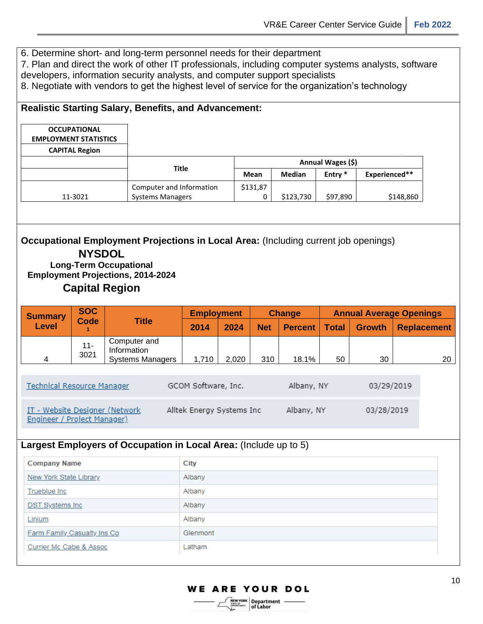6. Determine short- and long-term personnel needs for their department

7. Plan and direct the work of other IT professionals, including computer systems analysts, software

developers, information security analysts, and computer support specialists

8. Negotiate with vendors to get the highest level of service for the organization's technology

#### **Realistic Starting Salary, Benefits, and Advancement:**

| <b>OCCUPATIONAL</b><br><b>EMPLOYMENT STATISTICS</b><br><b>CAPITAL Region</b> |                          |                   |               |                    |               |
|------------------------------------------------------------------------------|--------------------------|-------------------|---------------|--------------------|---------------|
|                                                                              |                          | Annual Wages (\$) |               |                    |               |
|                                                                              | <b>Title</b>             | Mean              | <b>Median</b> | Entry <sup>*</sup> | Experienced** |
|                                                                              | Computer and Information | \$131,87          |               |                    |               |
| 11-3021                                                                      | <b>Systems Managers</b>  |                   | \$123,730     | \$97,890           | \$148,860     |

#### **Occupational Employment Projections in Local Area:** (Including current job openings) **NYSDOL**

**Long-Term Occupational Employment Projections, 2014-2024 Capital Region**

| <b>SOC</b><br><b>Summary</b>                                  |                |                                                        | <b>Employment</b>         |            | <b>Change</b> |                | <b>Annual Average Openings</b> |               |  |                    |
|---------------------------------------------------------------|----------------|--------------------------------------------------------|---------------------------|------------|---------------|----------------|--------------------------------|---------------|--|--------------------|
| <b>Level</b>                                                  | Code           | <b>Title</b>                                           | 2014                      | 2024       | <b>Net</b>    | <b>Percent</b> | Total                          | <b>Growth</b> |  | <b>Replacement</b> |
| 4                                                             | $11 -$<br>3021 | Computer and<br>Information<br><b>Systems Managers</b> | 1,710                     | 2,020      | 310           | 18.1%          | 50                             | 30            |  | 20                 |
| <b>Technical Resource Manager</b>                             |                | GCOM Software, Inc.                                    |                           | Albany, NY |               | 03/29/2019     |                                |               |  |                    |
| IT - Website Designer (Network<br>Engineer / Project Manager) |                |                                                        | Alltek Energy Systems Inc |            |               | Albany, NY     |                                | 03/28/2019    |  |                    |

#### **Largest Employers of Occupation in Local Area:** (Include up to 5)

| <b>Company Name</b>           | City     |
|-------------------------------|----------|
| <b>New York State Library</b> | Albany   |
| Trueblue Inc                  | Albany   |
| <b>DST Systems Inc.</b>       | Albany   |
| Linium                        | Albany   |
| Farm Family Casualty Ins Co   | Glenmont |
| Currier Mc Cabe & Assoc       | Latham   |

of Labor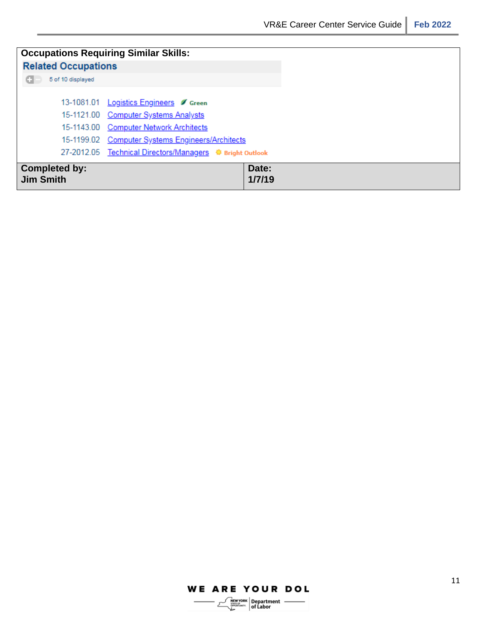#### **WE ARE YOUR DOL**

 $\leq$ 

 $\left[\begin{array}{c}\text{New York}\\\text{WMEM}\\\text{WMEM}\\\text{WMEM}\\\end{array}\right]$  of Labor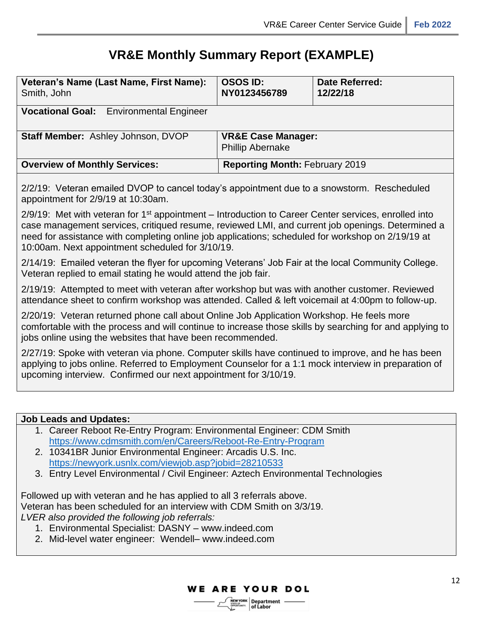### **VR&E Monthly Summary Report (EXAMPLE)**

| Veteran's Name (Last Name, First Name):<br>Smith, John                                     | <b>OSOS ID:</b><br>NY0123456789                          | <b>Date Referred:</b><br>12/22/18 |  |  |
|--------------------------------------------------------------------------------------------|----------------------------------------------------------|-----------------------------------|--|--|
| <b>Vocational Goal:</b> Environmental Engineer                                             |                                                          |                                   |  |  |
| <b>Staff Member: Ashley Johnson, DVOP</b>                                                  | <b>VR&amp;E Case Manager:</b><br><b>Phillip Abernake</b> |                                   |  |  |
| <b>Overview of Monthly Services:</b>                                                       | <b>Reporting Month: February 2019</b>                    |                                   |  |  |
| 2/2/10: Veteron empiled DVOD to concel today's enpointment due to a enquiptem, Reschaduled |                                                          |                                   |  |  |

2/2/19: Veteran emailed DVOP to cancel today's appointment due to a snowstorm. Rescheduled appointment for 2/9/19 at 10:30am.

 $2/9/19$ : Met with veteran for 1<sup>st</sup> appointment – Introduction to Career Center services, enrolled into case management services, critiqued resume, reviewed LMI, and current job openings. Determined a need for assistance with completing online job applications; scheduled for workshop on 2/19/19 at 10:00am. Next appointment scheduled for 3/10/19.

2/14/19: Emailed veteran the flyer for upcoming Veterans' Job Fair at the local Community College. Veteran replied to email stating he would attend the job fair.

2/19/19: Attempted to meet with veteran after workshop but was with another customer. Reviewed attendance sheet to confirm workshop was attended. Called & left voicemail at 4:00pm to follow-up.

2/20/19: Veteran returned phone call about Online Job Application Workshop. He feels more comfortable with the process and will continue to increase those skills by searching for and applying to jobs online using the websites that have been recommended.

2/27/19: Spoke with veteran via phone. Computer skills have continued to improve, and he has been applying to jobs online. Referred to Employment Counselor for a 1:1 mock interview in preparation of upcoming interview. Confirmed our next appointment for 3/10/19.

#### **Job Leads and Updates:**

- 1. Career Reboot Re-Entry Program: Environmental Engineer: CDM Smith <https://www.cdmsmith.com/en/Careers/Reboot-Re-Entry-Program>
- 2. 10341BR Junior Environmental Engineer: Arcadis U.S. Inc. <https://newyork.usnlx.com/viewjob.asp?jobid=28210533>
- 3. Entry Level Environmental / Civil Engineer: Aztech Environmental Technologies

Followed up with veteran and he has applied to all 3 referrals above. Veteran has been scheduled for an interview with CDM Smith on 3/3/19. *LVER also provided the following job referrals:*

- 1. Environmental Specialist: DASNY www.indeed.com
- 2. Mid-level water engineer: Wendell– www.indeed.com